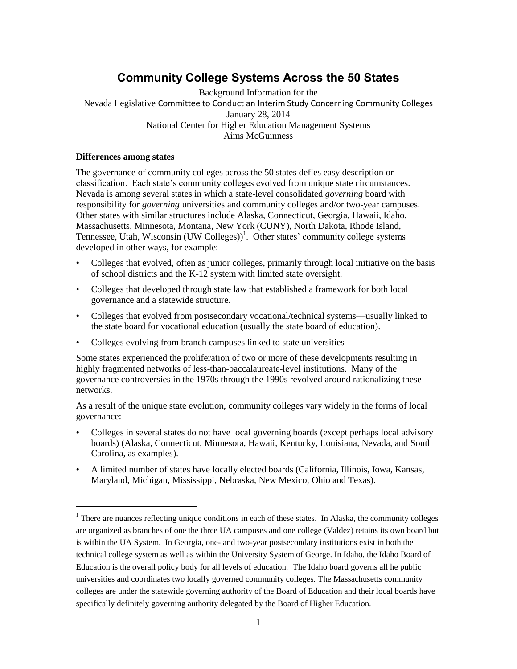## **Community College Systems Across the 50 States**

Background Information for the Nevada Legislative Committee to Conduct an Interim Study Concerning Community Colleges January 28, 2014 National Center for Higher Education Management Systems Aims McGuinness

#### **Differences among states**

l

The governance of community colleges across the 50 states defies easy description or classification. Each state's community colleges evolved from unique state circumstances. Nevada is among several states in which a state-level consolidated *governing* board with responsibility for *governing* universities and community colleges and/or two-year campuses. Other states with similar structures include Alaska, Connecticut, Georgia, Hawaii, Idaho, Massachusetts, Minnesota, Montana, New York (CUNY), North Dakota, Rhode Island, Tennessee, Utah, Wisconsin  $(UW \text{ College}))<sup>1</sup>$ . Other states' community college systems developed in other ways, for example:

- Colleges that evolved, often as junior colleges, primarily through local initiative on the basis of school districts and the K-12 system with limited state oversight.
- Colleges that developed through state law that established a framework for both local governance and a statewide structure.
- Colleges that evolved from postsecondary vocational/technical systems—usually linked to the state board for vocational education (usually the state board of education).
- Colleges evolving from branch campuses linked to state universities

Some states experienced the proliferation of two or more of these developments resulting in highly fragmented networks of less-than-baccalaureate-level institutions. Many of the governance controversies in the 1970s through the 1990s revolved around rationalizing these networks.

As a result of the unique state evolution, community colleges vary widely in the forms of local governance:

- Colleges in several states do not have local governing boards (except perhaps local advisory boards) (Alaska, Connecticut, Minnesota, Hawaii, Kentucky, Louisiana, Nevada, and South Carolina, as examples).
- A limited number of states have locally elected boards (California, Illinois, Iowa, Kansas, Maryland, Michigan, Mississippi, Nebraska, New Mexico, Ohio and Texas).

<sup>&</sup>lt;sup>1</sup> There are nuances reflecting unique conditions in each of these states. In Alaska, the community colleges are organized as branches of one the three UA campuses and one college (Valdez) retains its own board but is within the UA System. In Georgia, one- and two-year postsecondary institutions exist in both the technical college system as well as within the University System of George. In Idaho, the Idaho Board of Education is the overall policy body for all levels of education. The Idaho board governs all he public universities and coordinates two locally governed community colleges. The Massachusetts community colleges are under the statewide governing authority of the Board of Education and their local boards have specifically definitely governing authority delegated by the Board of Higher Education.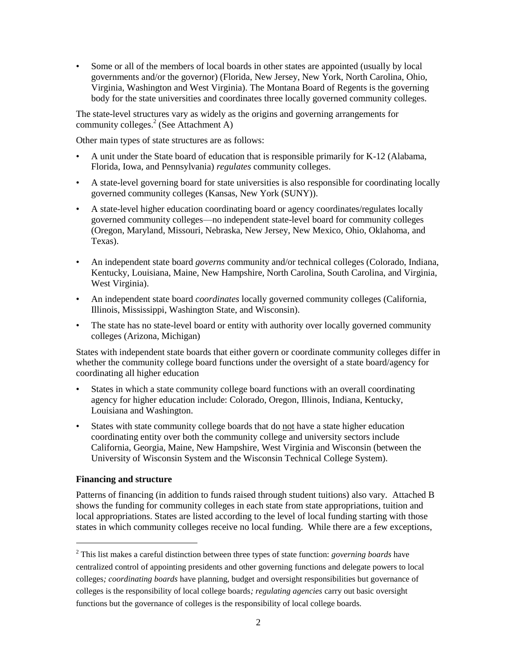• Some or all of the members of local boards in other states are appointed (usually by local governments and/or the governor) (Florida, New Jersey, New York, North Carolina, Ohio, Virginia, Washington and West Virginia). The Montana Board of Regents is the governing body for the state universities and coordinates three locally governed community colleges.

The state-level structures vary as widely as the origins and governing arrangements for community colleges.<sup>2</sup> (See Attachment A)

Other main types of state structures are as follows:

- A unit under the State board of education that is responsible primarily for K-12 (Alabama, Florida, Iowa, and Pennsylvania) *regulates* community colleges.
- A state-level governing board for state universities is also responsible for coordinating locally governed community colleges (Kansas, New York (SUNY)).
- A state-level higher education coordinating board or agency coordinates/regulates locally governed community colleges—no independent state-level board for community colleges (Oregon, Maryland, Missouri, Nebraska, New Jersey, New Mexico, Ohio, Oklahoma, and Texas).
- An independent state board *governs* community and/or technical colleges (Colorado, Indiana, Kentucky, Louisiana, Maine, New Hampshire, North Carolina, South Carolina, and Virginia, West Virginia).
- An independent state board *coordinates* locally governed community colleges (California, Illinois, Mississippi, Washington State, and Wisconsin).
- The state has no state-level board or entity with authority over locally governed community colleges (Arizona, Michigan)

States with independent state boards that either govern or coordinate community colleges differ in whether the community college board functions under the oversight of a state board/agency for coordinating all higher education

- States in which a state community college board functions with an overall coordinating agency for higher education include: Colorado, Oregon, Illinois, Indiana, Kentucky, Louisiana and Washington.
- States with state community college boards that do not have a state higher education coordinating entity over both the community college and university sectors include California, Georgia, Maine, New Hampshire, West Virginia and Wisconsin (between the University of Wisconsin System and the Wisconsin Technical College System).

### **Financing and structure**

l

Patterns of financing (in addition to funds raised through student tuitions) also vary. Attached B shows the funding for community colleges in each state from state appropriations, tuition and local appropriations. States are listed according to the level of local funding starting with those states in which community colleges receive no local funding. While there are a few exceptions,

<sup>2</sup> This list makes a careful distinction between three types of state function: *governing boards* have centralized control of appointing presidents and other governing functions and delegate powers to local colleges*; coordinating boards* have planning, budget and oversight responsibilities but governance of colleges is the responsibility of local college boards*; regulating agencies* carry out basic oversight functions but the governance of colleges is the responsibility of local college boards*.*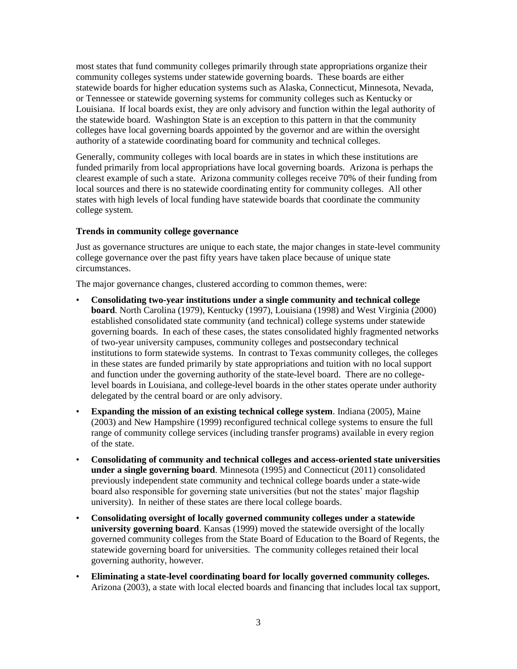most states that fund community colleges primarily through state appropriations organize their community colleges systems under statewide governing boards. These boards are either statewide boards for higher education systems such as Alaska, Connecticut, Minnesota, Nevada, or Tennessee or statewide governing systems for community colleges such as Kentucky or Louisiana. If local boards exist, they are only advisory and function within the legal authority of the statewide board. Washington State is an exception to this pattern in that the community colleges have local governing boards appointed by the governor and are within the oversight authority of a statewide coordinating board for community and technical colleges.

Generally, community colleges with local boards are in states in which these institutions are funded primarily from local appropriations have local governing boards. Arizona is perhaps the clearest example of such a state. Arizona community colleges receive 70% of their funding from local sources and there is no statewide coordinating entity for community colleges. All other states with high levels of local funding have statewide boards that coordinate the community college system.

#### **Trends in community college governance**

Just as governance structures are unique to each state, the major changes in state-level community college governance over the past fifty years have taken place because of unique state circumstances.

The major governance changes, clustered according to common themes, were:

- **Consolidating two-year institutions under a single community and technical college board**. North Carolina (1979), Kentucky (1997), Louisiana (1998) and West Virginia (2000) established consolidated state community (and technical) college systems under statewide governing boards. In each of these cases, the states consolidated highly fragmented networks of two-year university campuses, community colleges and postsecondary technical institutions to form statewide systems. In contrast to Texas community colleges, the colleges in these states are funded primarily by state appropriations and tuition with no local support and function under the governing authority of the state-level board. There are no collegelevel boards in Louisiana, and college-level boards in the other states operate under authority delegated by the central board or are only advisory.
- **Expanding the mission of an existing technical college system**. Indiana (2005), Maine (2003) and New Hampshire (1999) reconfigured technical college systems to ensure the full range of community college services (including transfer programs) available in every region of the state.
- **Consolidating of community and technical colleges and access-oriented state universities under a single governing board**. Minnesota (1995) and Connecticut (2011) consolidated previously independent state community and technical college boards under a state-wide board also responsible for governing state universities (but not the states' major flagship university). In neither of these states are there local college boards.
- **Consolidating oversight of locally governed community colleges under a statewide university governing board**. Kansas (1999) moved the statewide oversight of the locally governed community colleges from the State Board of Education to the Board of Regents, the statewide governing board for universities. The community colleges retained their local governing authority, however.
- **Eliminating a state-level coordinating board for locally governed community colleges.**  Arizona (2003), a state with local elected boards and financing that includes local tax support,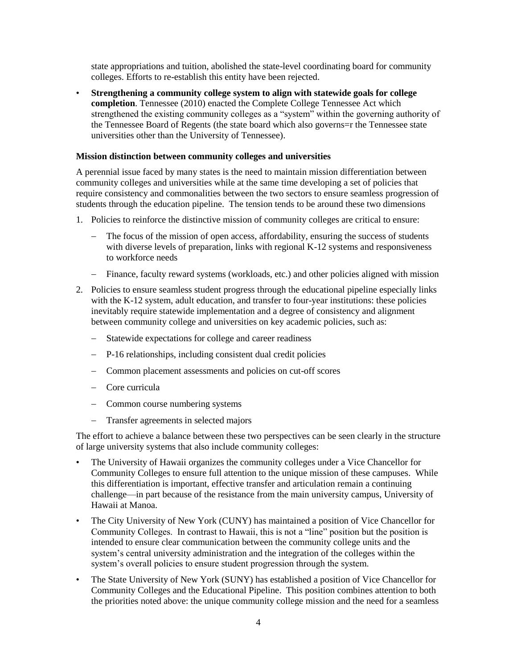state appropriations and tuition, abolished the state-level coordinating board for community colleges. Efforts to re-establish this entity have been rejected.

• **Strengthening a community college system to align with statewide goals for college completion**. Tennessee (2010) enacted the Complete College Tennessee Act which strengthened the existing community colleges as a "system" within the governing authority of the Tennessee Board of Regents (the state board which also governs=r the Tennessee state universities other than the University of Tennessee).

#### **Mission distinction between community colleges and universities**

A perennial issue faced by many states is the need to maintain mission differentiation between community colleges and universities while at the same time developing a set of policies that require consistency and commonalities between the two sectors to ensure seamless progression of students through the education pipeline. The tension tends to be around these two dimensions

- 1. Policies to reinforce the distinctive mission of community colleges are critical to ensure:
	- The focus of the mission of open access, affordability, ensuring the success of students with diverse levels of preparation, links with regional K-12 systems and responsiveness to workforce needs
	- Finance, faculty reward systems (workloads, etc.) and other policies aligned with mission
- 2. Policies to ensure seamless student progress through the educational pipeline especially links with the K-12 system, adult education, and transfer to four-year institutions: these policies inevitably require statewide implementation and a degree of consistency and alignment between community college and universities on key academic policies, such as:
	- Statewide expectations for college and career readiness
	- P-16 relationships, including consistent dual credit policies
	- Common placement assessments and policies on cut-off scores
	- Core curricula
	- Common course numbering systems
	- Transfer agreements in selected majors

The effort to achieve a balance between these two perspectives can be seen clearly in the structure of large university systems that also include community colleges:

- The University of Hawaii organizes the community colleges under a Vice Chancellor for Community Colleges to ensure full attention to the unique mission of these campuses. While this differentiation is important, effective transfer and articulation remain a continuing challenge—in part because of the resistance from the main university campus, University of Hawaii at Manoa.
- The City University of New York (CUNY) has maintained a position of Vice Chancellor for Community Colleges. In contrast to Hawaii, this is not a "line" position but the position is intended to ensure clear communication between the community college units and the system's central university administration and the integration of the colleges within the system's overall policies to ensure student progression through the system.
- The State University of New York (SUNY) has established a position of Vice Chancellor for Community Colleges and the Educational Pipeline. This position combines attention to both the priorities noted above: the unique community college mission and the need for a seamless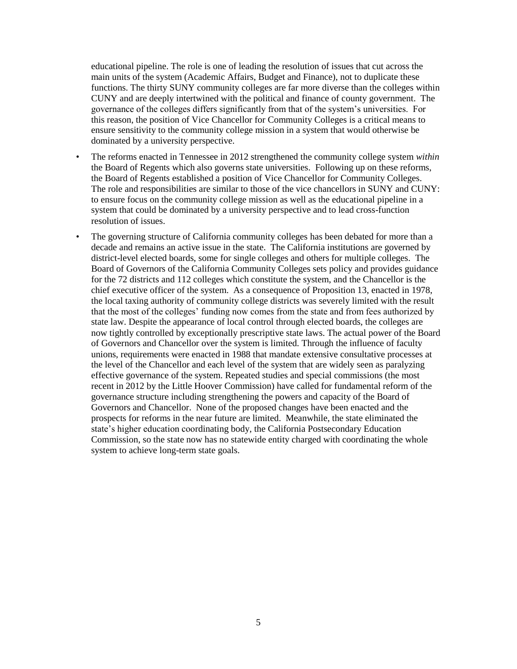educational pipeline. The role is one of leading the resolution of issues that cut across the main units of the system (Academic Affairs, Budget and Finance), not to duplicate these functions. The thirty SUNY community colleges are far more diverse than the colleges within CUNY and are deeply intertwined with the political and finance of county government. The governance of the colleges differs significantly from that of the system's universities. For this reason, the position of Vice Chancellor for Community Colleges is a critical means to ensure sensitivity to the community college mission in a system that would otherwise be dominated by a university perspective.

- The reforms enacted in Tennessee in 2012 strengthened the community college system *within*  the Board of Regents which also governs state universities. Following up on these reforms, the Board of Regents established a position of Vice Chancellor for Community Colleges. The role and responsibilities are similar to those of the vice chancellors in SUNY and CUNY: to ensure focus on the community college mission as well as the educational pipeline in a system that could be dominated by a university perspective and to lead cross-function resolution of issues.
- The governing structure of California community colleges has been debated for more than a decade and remains an active issue in the state. The California institutions are governed by district-level elected boards, some for single colleges and others for multiple colleges. The Board of Governors of the California Community Colleges sets policy and provides guidance for the 72 districts and 112 colleges which constitute the system, and the Chancellor is the chief executive officer of the system. As a consequence of Proposition 13, enacted in 1978, the local taxing authority of community college districts was severely limited with the result that the most of the colleges' funding now comes from the state and from fees authorized by state law. Despite the appearance of local control through elected boards, the colleges are now tightly controlled by exceptionally prescriptive state laws. The actual power of the Board of Governors and Chancellor over the system is limited. Through the influence of faculty unions, requirements were enacted in 1988 that mandate extensive consultative processes at the level of the Chancellor and each level of the system that are widely seen as paralyzing effective governance of the system. Repeated studies and special commissions (the most recent in 2012 by the Little Hoover Commission) have called for fundamental reform of the governance structure including strengthening the powers and capacity of the Board of Governors and Chancellor. None of the proposed changes have been enacted and the prospects for reforms in the near future are limited. Meanwhile, the state eliminated the state's higher education coordinating body, the California Postsecondary Education Commission, so the state now has no statewide entity charged with coordinating the whole system to achieve long-term state goals.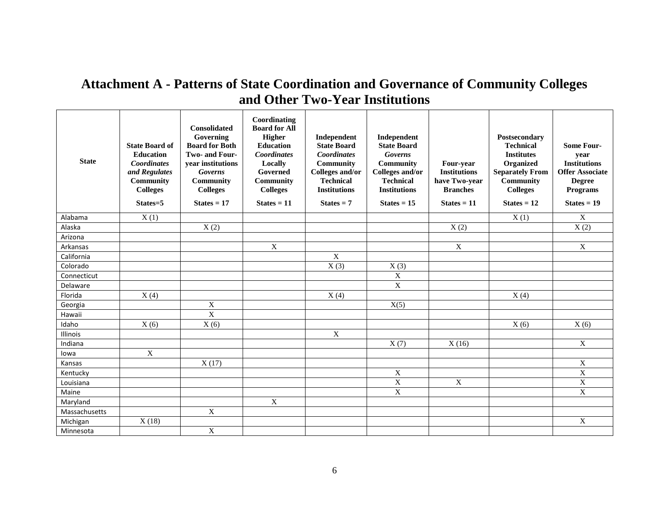# **Attachment A - Patterns of State Coordination and Governance of Community Colleges and Other Two-Year Institutions**

| <b>State</b>  | <b>State Board of</b><br><b>Education</b><br><b>Coordinates</b><br>and Regulates<br><b>Community</b><br><b>Colleges</b><br>States=5 | <b>Consolidated</b><br>Governing<br><b>Board for Both</b><br>Two- and Four-<br>year institutions<br><b>Governs</b><br><b>Community</b><br><b>Colleges</b><br>$States = 17$ | Coordinating<br><b>Board for All</b><br>Higher<br><b>Education</b><br><b>Coordinates</b><br>Locally<br>Governed<br>Community<br><b>Colleges</b><br>States $= 11$ | Independent<br><b>State Board</b><br><b>Coordinates</b><br><b>Community</b><br>Colleges and/or<br><b>Technical</b><br><b>Institutions</b><br>States $= 7$ | Independent<br><b>State Board</b><br><b>Governs</b><br>Community<br>Colleges and/or<br><b>Technical</b><br><b>Institutions</b><br>States $= 15$ | Four-year<br><b>Institutions</b><br>have Two-year<br><b>Branches</b><br>$States = 11$ | Postsecondary<br><b>Technical</b><br><b>Institutes</b><br>Organized<br><b>Separately From</b><br><b>Community</b><br><b>Colleges</b><br>$States = 12$ | <b>Some Four-</b><br>vear<br><b>Institutions</b><br><b>Offer Associate</b><br><b>Degree</b><br><b>Programs</b><br>$States = 19$ |
|---------------|-------------------------------------------------------------------------------------------------------------------------------------|----------------------------------------------------------------------------------------------------------------------------------------------------------------------------|------------------------------------------------------------------------------------------------------------------------------------------------------------------|-----------------------------------------------------------------------------------------------------------------------------------------------------------|-------------------------------------------------------------------------------------------------------------------------------------------------|---------------------------------------------------------------------------------------|-------------------------------------------------------------------------------------------------------------------------------------------------------|---------------------------------------------------------------------------------------------------------------------------------|
| Alabama       | X(1)                                                                                                                                |                                                                                                                                                                            |                                                                                                                                                                  |                                                                                                                                                           |                                                                                                                                                 |                                                                                       | X(1)                                                                                                                                                  | $\overline{X}$                                                                                                                  |
| Alaska        |                                                                                                                                     | X(2)                                                                                                                                                                       |                                                                                                                                                                  |                                                                                                                                                           |                                                                                                                                                 | X(2)                                                                                  |                                                                                                                                                       | X(2)                                                                                                                            |
| Arizona       |                                                                                                                                     |                                                                                                                                                                            |                                                                                                                                                                  |                                                                                                                                                           |                                                                                                                                                 |                                                                                       |                                                                                                                                                       |                                                                                                                                 |
| Arkansas      |                                                                                                                                     |                                                                                                                                                                            | $\mathbf X$                                                                                                                                                      |                                                                                                                                                           |                                                                                                                                                 | $\overline{X}$                                                                        |                                                                                                                                                       | $\overline{X}$                                                                                                                  |
| California    |                                                                                                                                     |                                                                                                                                                                            |                                                                                                                                                                  | $\overline{X}$                                                                                                                                            |                                                                                                                                                 |                                                                                       |                                                                                                                                                       |                                                                                                                                 |
| Colorado      |                                                                                                                                     |                                                                                                                                                                            |                                                                                                                                                                  | X(3)                                                                                                                                                      | X(3)                                                                                                                                            |                                                                                       |                                                                                                                                                       |                                                                                                                                 |
| Connecticut   |                                                                                                                                     |                                                                                                                                                                            |                                                                                                                                                                  |                                                                                                                                                           | X                                                                                                                                               |                                                                                       |                                                                                                                                                       |                                                                                                                                 |
| Delaware      |                                                                                                                                     |                                                                                                                                                                            |                                                                                                                                                                  |                                                                                                                                                           | $\mathbf X$                                                                                                                                     |                                                                                       |                                                                                                                                                       |                                                                                                                                 |
| Florida       | X(4)                                                                                                                                |                                                                                                                                                                            |                                                                                                                                                                  | X(4)                                                                                                                                                      |                                                                                                                                                 |                                                                                       | X(4)                                                                                                                                                  |                                                                                                                                 |
| Georgia       |                                                                                                                                     | $\overline{X}$                                                                                                                                                             |                                                                                                                                                                  |                                                                                                                                                           | X(5)                                                                                                                                            |                                                                                       |                                                                                                                                                       |                                                                                                                                 |
| Hawaii        |                                                                                                                                     | $\overline{X}$                                                                                                                                                             |                                                                                                                                                                  |                                                                                                                                                           |                                                                                                                                                 |                                                                                       |                                                                                                                                                       |                                                                                                                                 |
| Idaho         | X(6)                                                                                                                                | X(6)                                                                                                                                                                       |                                                                                                                                                                  |                                                                                                                                                           |                                                                                                                                                 |                                                                                       | X(6)                                                                                                                                                  | X(6)                                                                                                                            |
| Illinois      |                                                                                                                                     |                                                                                                                                                                            |                                                                                                                                                                  | $\overline{X}$                                                                                                                                            |                                                                                                                                                 |                                                                                       |                                                                                                                                                       |                                                                                                                                 |
| Indiana       |                                                                                                                                     |                                                                                                                                                                            |                                                                                                                                                                  |                                                                                                                                                           | X(7)                                                                                                                                            | X(16)                                                                                 |                                                                                                                                                       | $\overline{X}$                                                                                                                  |
| lowa          | $\overline{X}$                                                                                                                      |                                                                                                                                                                            |                                                                                                                                                                  |                                                                                                                                                           |                                                                                                                                                 |                                                                                       |                                                                                                                                                       |                                                                                                                                 |
| Kansas        |                                                                                                                                     | X(17)                                                                                                                                                                      |                                                                                                                                                                  |                                                                                                                                                           |                                                                                                                                                 |                                                                                       |                                                                                                                                                       | $\mathbf X$                                                                                                                     |
| Kentucky      |                                                                                                                                     |                                                                                                                                                                            |                                                                                                                                                                  |                                                                                                                                                           | $\mathbf X$                                                                                                                                     |                                                                                       |                                                                                                                                                       | $\mathbf X$                                                                                                                     |
| Louisiana     |                                                                                                                                     |                                                                                                                                                                            |                                                                                                                                                                  |                                                                                                                                                           | X                                                                                                                                               | $\mathbf{X}$                                                                          |                                                                                                                                                       | $\overline{X}$                                                                                                                  |
| Maine         |                                                                                                                                     |                                                                                                                                                                            |                                                                                                                                                                  |                                                                                                                                                           | $\mathbf X$                                                                                                                                     |                                                                                       |                                                                                                                                                       | $\mathbf{X}$                                                                                                                    |
| Maryland      |                                                                                                                                     |                                                                                                                                                                            | $\mathbf X$                                                                                                                                                      |                                                                                                                                                           |                                                                                                                                                 |                                                                                       |                                                                                                                                                       |                                                                                                                                 |
| Massachusetts |                                                                                                                                     | $\mathbf X$                                                                                                                                                                |                                                                                                                                                                  |                                                                                                                                                           |                                                                                                                                                 |                                                                                       |                                                                                                                                                       |                                                                                                                                 |
| Michigan      | X(18)                                                                                                                               |                                                                                                                                                                            |                                                                                                                                                                  |                                                                                                                                                           |                                                                                                                                                 |                                                                                       |                                                                                                                                                       | $\mathbf X$                                                                                                                     |
| Minnesota     |                                                                                                                                     | $\mathbf X$                                                                                                                                                                |                                                                                                                                                                  |                                                                                                                                                           |                                                                                                                                                 |                                                                                       |                                                                                                                                                       |                                                                                                                                 |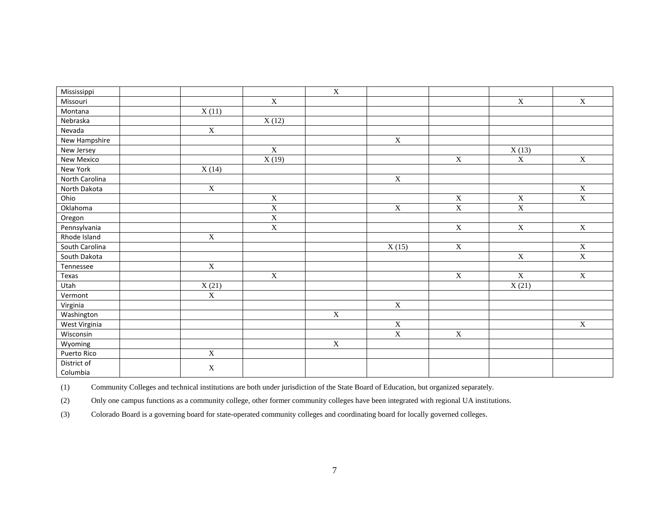| Mississippi             |                         |                                | $\mathbf X$    |                         |                         |                         |                |
|-------------------------|-------------------------|--------------------------------|----------------|-------------------------|-------------------------|-------------------------|----------------|
| Missouri                |                         | $\mathbf X$                    |                |                         |                         | $\mathbf X$             | $\overline{X}$ |
| Montana                 | X(11)                   |                                |                |                         |                         |                         |                |
| Nebraska                |                         | $\boldsymbol{\mathrm{X}}$ (12) |                |                         |                         |                         |                |
| Nevada                  | $\overline{\textbf{X}}$ |                                |                |                         |                         |                         |                |
| New Hampshire           |                         |                                |                | $\overline{\textbf{X}}$ |                         |                         |                |
| New Jersey              |                         | $\mathbf X$                    |                |                         |                         | X(13)                   |                |
| New Mexico              |                         | X(19)                          |                |                         | $\overline{X}$          | $\overline{X}$          | $\overline{X}$ |
| New York                | X(14)                   |                                |                |                         |                         |                         |                |
| North Carolina          |                         |                                |                | $\mathbf X$             |                         |                         |                |
| North Dakota            | $\overline{\textbf{X}}$ |                                |                |                         |                         |                         | $\mathbf X$    |
| Ohio                    |                         | $\mathbf X$                    |                |                         | $\mathbf X$             | $\mathbf X$             | $\overline{X}$ |
| Oklahoma                |                         | $\overline{X}$                 |                | $\overline{\textbf{X}}$ | $\overline{\textbf{X}}$ | $\overline{\textbf{X}}$ |                |
| Oregon                  |                         | $\overline{X}$                 |                |                         |                         |                         |                |
| Pennsylvania            |                         | $\overline{X}$                 |                |                         | $\mathbf X$             | $\mathbf X$             | $\mathbf X$    |
| Rhode Island            | $\overline{X}$          |                                |                |                         |                         |                         |                |
| South Carolina          |                         |                                |                | X(15)                   | $\overline{\textbf{X}}$ |                         | $\mathbf X$    |
| South Dakota            |                         |                                |                |                         |                         | $\overline{X}$          | $\overline{X}$ |
| Tennessee               | $\overline{X}$          |                                |                |                         |                         |                         |                |
| Texas                   |                         | $\mathbf X$                    |                |                         | $\mathbf X$             | $\mathbf X$             | $\mathbf X$    |
| Utah                    | X(21)                   |                                |                |                         |                         | X(21)                   |                |
| Vermont                 | $\overline{\textbf{X}}$ |                                |                |                         |                         |                         |                |
| Virginia                |                         |                                |                | $\mathbf X$             |                         |                         |                |
| Washington              |                         |                                | $\overline{X}$ |                         |                         |                         |                |
| West Virginia           |                         |                                |                | $\mathbf X$             |                         |                         | $\mathbf X$    |
| Wisconsin               |                         |                                |                | $\mathbf X$             | $\mathbf X$             |                         |                |
| Wyoming                 |                         |                                | $\overline{X}$ |                         |                         |                         |                |
| Puerto Rico             | $\overline{X}$          |                                |                |                         |                         |                         |                |
| District of<br>Columbia | $\mathbf X$             |                                |                |                         |                         |                         |                |

(1) Community Colleges and technical institutions are both under jurisdiction of the State Board of Education, but organized separately.

(2) Only one campus functions as a community college, other former community colleges have been integrated with regional UA institutions.

(3) Colorado Board is a governing board for state-operated community colleges and coordinating board for locally governed colleges.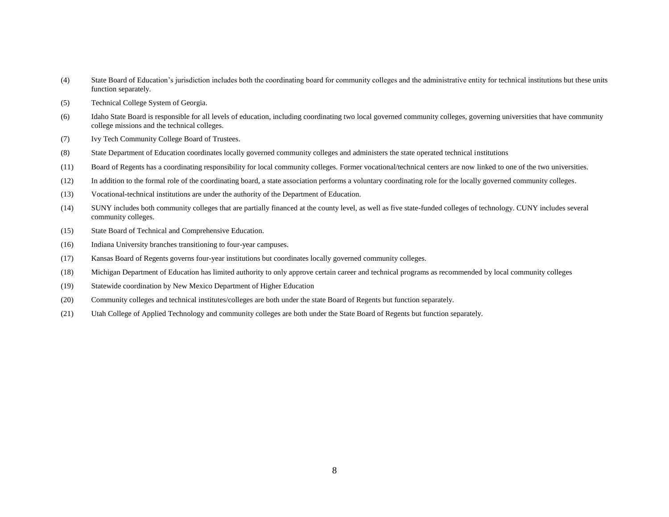- (4) State Board of Education's jurisdiction includes both the coordinating board for community colleges and the administrative entity for technical institutions but these units function separately.
- (5) Technical College System of Georgia.
- (6) Idaho State Board is responsible for all levels of education, including coordinating two local governed community colleges, governing universities that have community college missions and the technical colleges.
- (7) Ivy Tech Community College Board of Trustees.
- (8) State Department of Education coordinates locally governed community colleges and administers the state operated technical institutions
- (11) Board of Regents has a coordinating responsibility for local community colleges. Former vocational/technical centers are now linked to one of the two universities.
- (12) In addition to the formal role of the coordinating board, a state association performs a voluntary coordinating role for the locally governed community colleges.
- (13) Vocational-technical institutions are under the authority of the Department of Education.
- (14) SUNY includes both community colleges that are partially financed at the county level, as well as five state-funded colleges of technology. CUNY includes several community colleges.
- (15) State Board of Technical and Comprehensive Education.
- (16) Indiana University branches transitioning to four-year campuses.
- (17) Kansas Board of Regents governs four-year institutions but coordinates locally governed community colleges.
- (18) Michigan Department of Education has limited authority to only approve certain career and technical programs as recommended by local community colleges
- (19) Statewide coordination by New Mexico Department of Higher Education
- (20) Community colleges and technical institutes/colleges are both under the state Board of Regents but function separately.
- (21) Utah College of Applied Technology and community colleges are both under the State Board of Regents but function separately.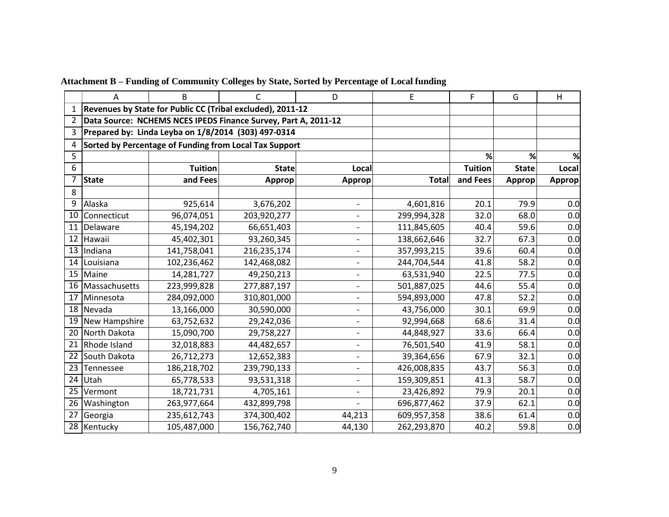|                | A             | B              | С                                                              | D                        | E            | F              | G            | H             |
|----------------|---------------|----------------|----------------------------------------------------------------|--------------------------|--------------|----------------|--------------|---------------|
| 1              |               |                | Revenues by State for Public CC (Tribal excluded), 2011-12     |                          |              |                |              |               |
| $\overline{2}$ |               |                | Data Source: NCHEMS NCES IPEDS Finance Survey, Part A, 2011-12 |                          |              |                |              |               |
| 3              |               |                | Prepared by: Linda Leyba on 1/8/2014 (303) 497-0314            |                          |              |                |              |               |
| 4              |               |                | Sorted by Percentage of Funding from Local Tax Support         |                          |              |                |              |               |
| 5              |               |                |                                                                |                          |              | ℅              | %            | %             |
| 6              |               | <b>Tuition</b> | <b>State</b>                                                   | Local                    |              | <b>Tuition</b> | <b>State</b> | Local         |
| 7              | <b>State</b>  | and Fees       | Approp                                                         | <b>Approp</b>            | <b>Total</b> | and Fees       | Approp       | <b>Approp</b> |
| 8              |               |                |                                                                |                          |              |                |              |               |
| 9              | Alaska        | 925,614        | 3,676,202                                                      | $\overline{\phantom{a}}$ | 4,601,816    | 20.1           | 79.9         | 0.0           |
| 10             | Connecticut   | 96,074,051     | 203,920,277                                                    |                          | 299,994,328  | 32.0           | 68.0         | 0.0           |
| 11             | Delaware      | 45,194,202     | 66,651,403                                                     | $\overline{\phantom{0}}$ | 111,845,605  | 40.4           | 59.6         | 0.0           |
| 12             | Hawaii        | 45,402,301     | 93,260,345                                                     | $\overline{\phantom{0}}$ | 138,662,646  | 32.7           | 67.3         | 0.0           |
| 13             | Indiana       | 141,758,041    | 216,235,174                                                    | $\overline{\phantom{0}}$ | 357,993,215  | 39.6           | 60.4         | 0.0           |
| 14             | Louisiana     | 102,236,462    | 142,468,082                                                    |                          | 244,704,544  | 41.8           | 58.2         | 0.0           |
| 15             | Maine         | 14,281,727     | 49,250,213                                                     | $\overline{\phantom{a}}$ | 63,531,940   | 22.5           | 77.5         | 0.0           |
| 16             | Massachusetts | 223,999,828    | 277,887,197                                                    | $\overline{\phantom{0}}$ | 501,887,025  | 44.6           | 55.4         | 0.0           |
| 17             | Minnesota     | 284,092,000    | 310,801,000                                                    | $\overline{\phantom{a}}$ | 594,893,000  | 47.8           | 52.2         | 0.0           |
| 18             | Nevada        | 13,166,000     | 30,590,000                                                     | $\overline{\phantom{a}}$ | 43,756,000   | 30.1           | 69.9         | 0.0           |
| 19             | New Hampshire | 63,752,632     | 29,242,036                                                     | $\overline{\phantom{a}}$ | 92,994,668   | 68.6           | 31.4         | 0.0           |
| 20             | North Dakota  | 15,090,700     | 29,758,227                                                     | $\overline{\phantom{0}}$ | 44,848,927   | 33.6           | 66.4         | 0.0           |
| 21             | Rhode Island  | 32,018,883     | 44,482,657                                                     | $\overline{\phantom{0}}$ | 76,501,540   | 41.9           | 58.1         | 0.0           |
| 22             | South Dakota  | 26,712,273     | 12,652,383                                                     | $\overline{\phantom{a}}$ | 39,364,656   | 67.9           | 32.1         | 0.0           |
| 23             | Tennessee     | 186,218,702    | 239,790,133                                                    | $\overline{\phantom{0}}$ | 426,008,835  | 43.7           | 56.3         | 0.0           |
| 24             | Utah          | 65,778,533     | 93,531,318                                                     | $\overline{\phantom{0}}$ | 159,309,851  | 41.3           | 58.7         | 0.0           |
| 25             | Vermont       | 18,721,731     | 4,705,161                                                      | $\overline{a}$           | 23,426,892   | 79.9           | 20.1         | 0.0           |
| 26             | Washington    | 263,977,664    | 432,899,798                                                    |                          | 696,877,462  | 37.9           | 62.1         | 0.0           |
| 27             | Georgia       | 235,612,743    | 374,300,402                                                    | 44,213                   | 609,957,358  | 38.6           | 61.4         | 0.0           |
| 28             | Kentucky      | 105,487,000    | 156,762,740                                                    | 44,130                   | 262,293,870  | 40.2           | 59.8         | 0.0           |

**Attachment B – Funding of Community Colleges by State, Sorted by Percentage of Local funding**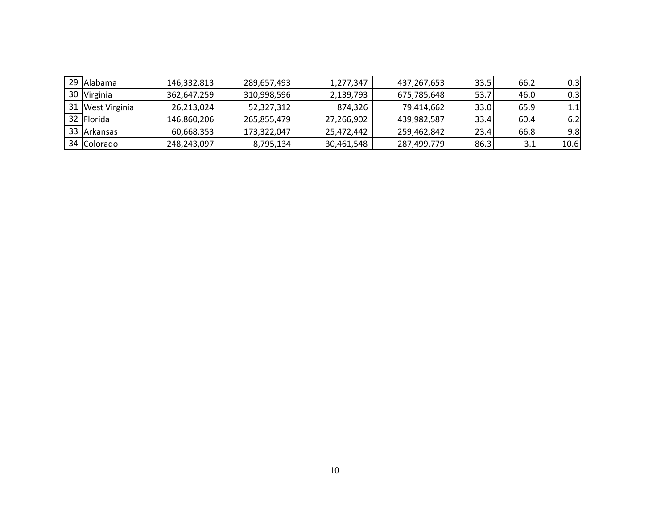| 29 Alabama       | 146,332,813 | 289,657,493 | 1,277,347  | 437,267,653 | 33.5 | 66.2 | 0.3   |
|------------------|-------------|-------------|------------|-------------|------|------|-------|
| 30 Virginia      | 362,647,259 | 310,998,596 | 2,139,793  | 675,785,648 | 53.7 | 46.0 | 0.3   |
| 31 West Virginia | 26,213,024  | 52,327,312  | 874,326    | 79,414,662  | 33.0 | 65.9 | 1.1   |
| 32 Florida       | 146,860,206 | 265,855,479 | 27,266,902 | 439,982,587 | 33.4 | 60.4 | 6.2   |
| 33 Arkansas      | 60,668,353  | 173,322,047 | 25,472,442 | 259.462.842 | 23.4 | 66.8 | 9.8   |
| 34 Colorado      | 248,243,097 | 8,795,134   | 30,461,548 | 287,499,779 | 86.3 | 3.1  | 10.6I |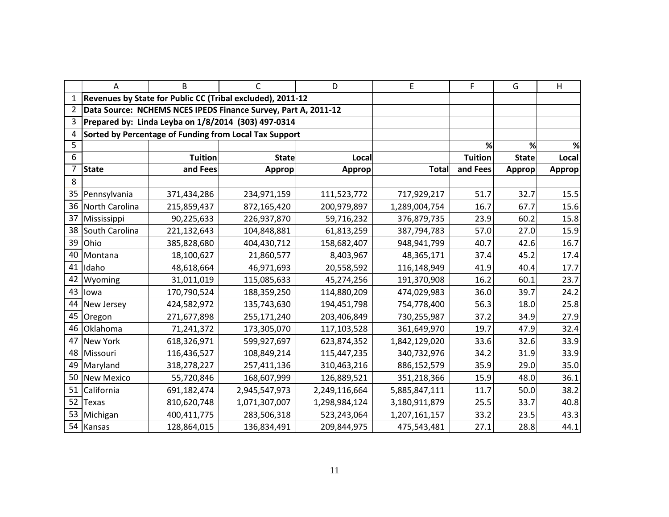|                | A                                                          | <sub>B</sub>                                           | C                                                              | D             | E             | F              | G            | H      |
|----------------|------------------------------------------------------------|--------------------------------------------------------|----------------------------------------------------------------|---------------|---------------|----------------|--------------|--------|
|                | Revenues by State for Public CC (Tribal excluded), 2011-12 |                                                        |                                                                |               |               |                |              |        |
| $\overline{2}$ |                                                            |                                                        | Data Source: NCHEMS NCES IPEDS Finance Survey, Part A, 2011-12 |               |               |                |              |        |
| 3              |                                                            | Prepared by: Linda Leyba on 1/8/2014 (303) 497-0314    |                                                                |               |               |                |              |        |
| 4              |                                                            | Sorted by Percentage of Funding from Local Tax Support |                                                                |               |               |                |              |        |
| 5              |                                                            |                                                        |                                                                |               |               | %              | %            | %      |
| 6              |                                                            | <b>Tuition</b>                                         | <b>State</b>                                                   | Local         |               | <b>Tuition</b> | <b>State</b> | Local  |
| 7              | <b>State</b>                                               | and Fees                                               | <b>Approp</b>                                                  | <b>Approp</b> | <b>Total</b>  | and Fees       | Approp       | Approp |
| 8              |                                                            |                                                        |                                                                |               |               |                |              |        |
| 35             | Pennsylvania                                               | 371,434,286                                            | 234,971,159                                                    | 111,523,772   | 717,929,217   | 51.7           | 32.7         | 15.5   |
| 36             | North Carolina                                             | 215,859,437                                            | 872,165,420                                                    | 200,979,897   | 1,289,004,754 | 16.7           | 67.7         | 15.6   |
| 37             | Mississippi                                                | 90,225,633                                             | 226,937,870                                                    | 59,716,232    | 376,879,735   | 23.9           | 60.2         | 15.8   |
| 38             | South Carolina                                             | 221,132,643                                            | 104,848,881                                                    | 61,813,259    | 387,794,783   | 57.0           | 27.0         | 15.9   |
| 39             | Ohio                                                       | 385,828,680                                            | 404,430,712                                                    | 158,682,407   | 948,941,799   | 40.7           | 42.6         | 16.7   |
| 40             | Montana                                                    | 18,100,627                                             | 21,860,577                                                     | 8,403,967     | 48,365,171    | 37.4           | 45.2         | 17.4   |
| 41             | Idaho                                                      | 48,618,664                                             | 46,971,693                                                     | 20,558,592    | 116,148,949   | 41.9           | 40.4         | 17.7   |
| 42             | Wyoming                                                    | 31,011,019                                             | 115,085,633                                                    | 45,274,256    | 191,370,908   | 16.2           | 60.1         | 23.7   |
| 43             | lowa                                                       | 170,790,524                                            | 188,359,250                                                    | 114,880,209   | 474,029,983   | 36.0           | 39.7         | 24.2   |
| 44             | New Jersey                                                 | 424,582,972                                            | 135,743,630                                                    | 194,451,798   | 754,778,400   | 56.3           | 18.0         | 25.8   |
| 45             | Oregon                                                     | 271,677,898                                            | 255,171,240                                                    | 203,406,849   | 730,255,987   | 37.2           | 34.9         | 27.9   |
| 46             | Oklahoma                                                   | 71,241,372                                             | 173,305,070                                                    | 117,103,528   | 361,649,970   | 19.7           | 47.9         | 32.4   |
| 47             | <b>New York</b>                                            | 618,326,971                                            | 599,927,697                                                    | 623,874,352   | 1,842,129,020 | 33.6           | 32.6         | 33.9   |
| 48             | Missouri                                                   | 116,436,527                                            | 108,849,214                                                    | 115,447,235   | 340,732,976   | 34.2           | 31.9         | 33.9   |
| 49             | Maryland                                                   | 318,278,227                                            | 257,411,136                                                    | 310,463,216   | 886,152,579   | 35.9           | 29.0         | 35.0   |
| 50             | <b>New Mexico</b>                                          | 55,720,846                                             | 168,607,999                                                    | 126,889,521   | 351,218,366   | 15.9           | 48.0         | 36.1   |
| 51             | California                                                 | 691,182,474                                            | 2,945,547,973                                                  | 2,249,116,664 | 5,885,847,111 | 11.7           | 50.0         | 38.2   |
| 52             | <b>Texas</b>                                               | 810,620,748                                            | 1,071,307,007                                                  | 1,298,984,124 | 3,180,911,879 | 25.5           | 33.7         | 40.8   |
| 53             | Michigan                                                   | 400,411,775                                            | 283,506,318                                                    | 523,243,064   | 1,207,161,157 | 33.2           | 23.5         | 43.3   |
| 54             | Kansas                                                     | 128,864,015                                            | 136,834,491                                                    | 209,844,975   | 475,543,481   | 27.1           | 28.8         | 44.1   |